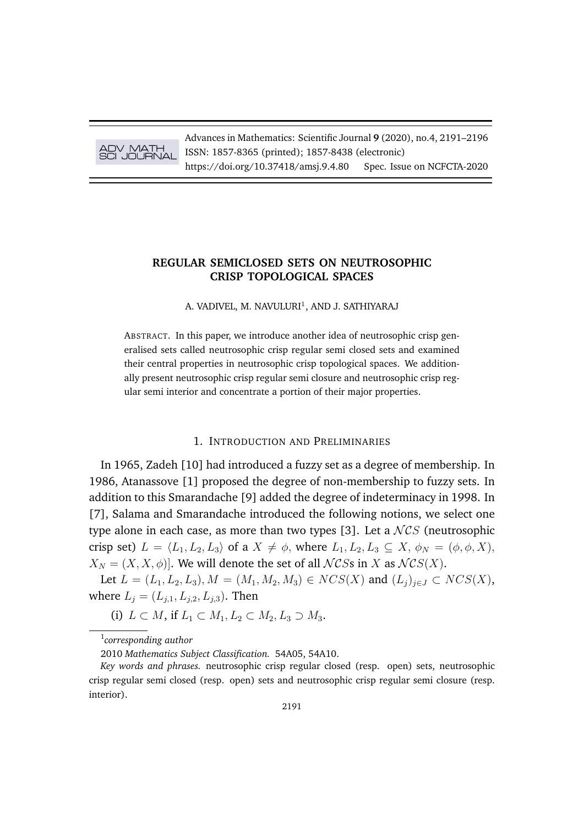

Advances in Mathematics: Scientific Journal **9** (2020), no.4, 2191–2196 ISSN: 1857-8365 (printed); 1857-8438 (electronic) https://doi.org/10.37418/amsj.9.4.80 Spec. Issue on NCFCTA-2020

## **REGULAR SEMICLOSED SETS ON NEUTROSOPHIC CRISP TOPOLOGICAL SPACES**

A. VADIVEL, M. NAVULURI<sup>1</sup>, AND J. SATHIYARAJ

ABSTRACT. In this paper, we introduce another idea of neutrosophic crisp generalised sets called neutrosophic crisp regular semi closed sets and examined their central properties in neutrosophic crisp topological spaces. We additionally present neutrosophic crisp regular semi closure and neutrosophic crisp regular semi interior and concentrate a portion of their major properties.

## 1. INTRODUCTION AND PRELIMINARIES

In 1965, Zadeh [10] had introduced a fuzzy set as a degree of membership. In 1986, Atanassove [1] proposed the degree of non-membership to fuzzy sets. In addition to this Smarandache [9] added the degree of indeterminacy in 1998. In [7], Salama and Smarandache introduced the following notions, we select one type alone in each case, as more than two types [3]. Let a  $NCS$  (neutrosophic crisp set)  $L = \langle L_1, L_2, L_3 \rangle$  of a  $X \neq \emptyset$ , where  $L_1, L_2, L_3 \subseteq X$ ,  $\phi_N = (\phi, \phi, X)$ ,  $X_N = (X, X, \phi)$ . We will denote the set of all  $\mathcal{N}$ CSs in X as  $\mathcal{N}$ CS(X).

Let  $L = (L_1, L_2, L_3), M = (M_1, M_2, M_3) \in NCS(X)$  and  $(L_j)_{j \in J} \subset NCS(X)$ , where  $L_i = (L_{i,1}, L_{i,2}, L_{i,3})$ . Then

(i)  $L \subset M$ , if  $L_1 \subset M_1, L_2 \subset M_2, L_3 \supset M_3$ .

1 *corresponding author*

<sup>2010</sup> *Mathematics Subject Classification.* 54A05, 54A10.

*Key words and phrases.* neutrosophic crisp regular closed (resp. open) sets, neutrosophic crisp regular semi closed (resp. open) sets and neutrosophic crisp regular semi closure (resp. interior).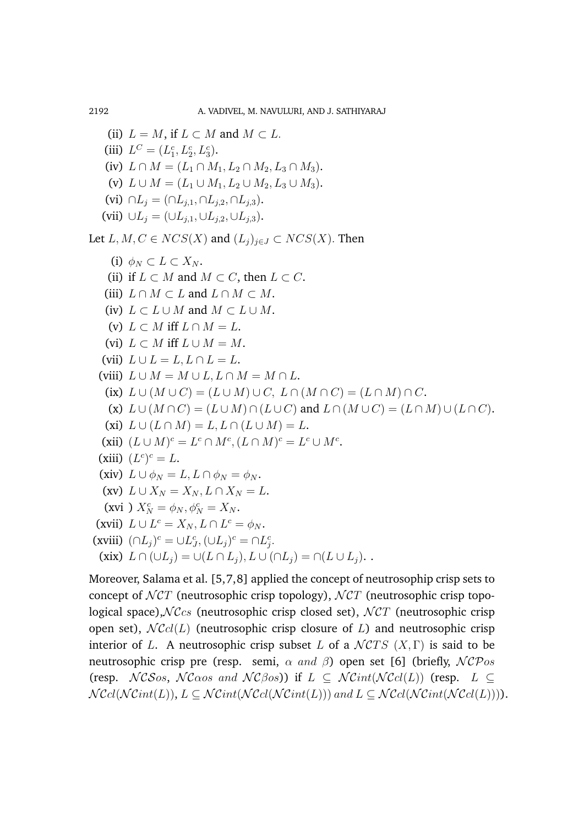```
(ii) L = M, if L \subset M and M \subset L.
   (iii) L^C = (L_1^c, L_2^c, L_3^c).
   (iv) L \cap M = (L_1 \cap M_1, L_2 \cap M_2, L_3 \cap M_3).(v) L \cup M = (L_1 \cup M_1, L_2 \cup M_2, L_3 \cup M_3).(vi) \cap L_i = (\cap L_{i,1}, \cap L_{i,2}, \cap L_{i,3}).(vii) \cup L_i = (\cup L_{i,1}, \cup L_{i,2}, \cup L_{i,3}).Let L, M, C \in NCS(X) and (L_i)_{i \in J} \subset NCS(X). Then
     (i) \phi_N \subset L \subset X_N.
    (ii) if L \subset M and M \subset C, then L \subset C.
   (iii) L \cap M \subset L and L \cap M \subset M.
   (iv) L \subset L \cup M and M \subset L \cup M.
    (v) L \subset M iff L \cap M = L.
   (vi) L \subset M iff L \cup M = M.
  (vii) L \cup L = L, L \cap L = L.
  (viii) L \cup M = M \cup L, L \cap M = M \cap L.
   (ix) L \cup (M \cup C) = (L \cup M) \cup C, L \cap (M \cap C) = (L \cap M) \cap C.
    (x) L \cup (M \cap C) = (L \cup M) \cap (L \cup C) and L \cap (M \cup C) = (L \cap M) \cup (L \cap C).
   (xi) L \cup (L \cap M) = L, L \cap (L \cup M) = L.(xii) (L \cup M)^c = L^c \cap M^c, (L \cap M)^c = L^c \cup M^c.(xiii) (L^c)^c = L.
  (xiv) L \cup \phi_N = L, L \cap \phi_N = \phi_N.
  (xv) L \cup X_N = X_N, L \cap X_N = L.
   (xvi ) X_N^c = \phi_N, \phi_N^c = X_N.
 (xvii) L \cup L^c = X_N, L \cap L^c = \phi_N.
(xviii) (\cap L_j)^c = \cup L_J^c, (\cup L_j)^c = \cap L_j^c.(xix) L \cap (\cup L_i) = \cup (L \cap L_i), L \cup (\cap L_i) = \cap (L \cup L_i).
```
Moreover, Salama et al. [5,7,8] applied the concept of neutrosophip crisp sets to concept of  $\mathcal{N}CT$  (neutrosophic crisp topology),  $\mathcal{N}CT$  (neutrosophic crisp topological space),  $N\mathcal{C}_{CS}$  (neutrosophic crisp closed set),  $N\mathcal{C}T$  (neutrosophic crisp open set),  $N\mathcal{C}cl(L)$  (neutrosophic crisp closure of L) and neutrosophic crisp interior of L. A neutrosophic crisp subset L of a  $\mathcal{N}CTS$   $(X,\Gamma)$  is said to be neutrosophic crisp pre (resp. semi,  $\alpha$  and  $\beta$ ) open set [6] (briefly,  $\mathcal{NCP}$ os (resp.  $NCSos$ ,  $NCoos$  and  $NCBos$ ) if  $L \subseteq NCint(NCcl(L))$  (resp.  $L \subseteq$  $N\mathcal{C}cl(\mathcal{NC}int(L)), L \subseteq \mathcal{NC}int(\mathcal{NC}int(L)))$  and  $L \subseteq \mathcal{NC}cl(\mathcal{NC}int(\mathcal{NC}cl(L))))$ .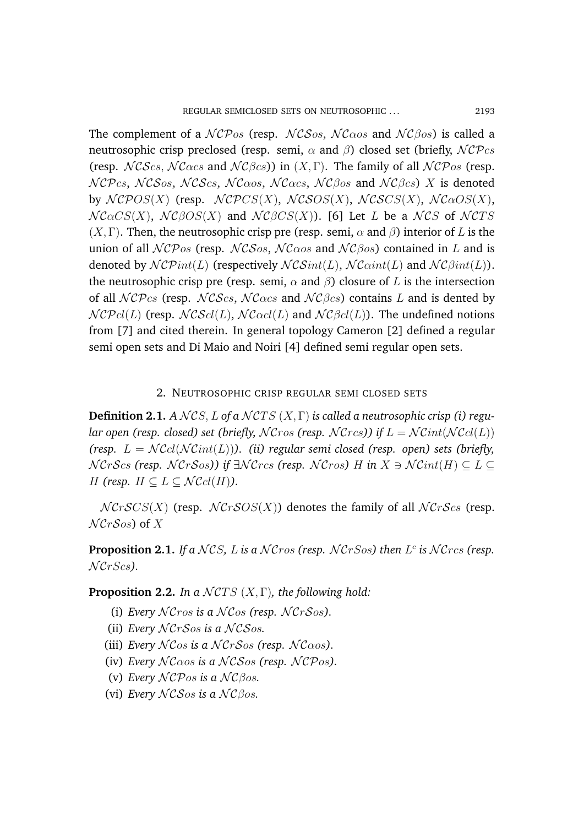The complement of a  $\mathcal{NCP}_{OS}$  (resp.  $\mathcal{NCS}_{OS}$ ,  $\mathcal{NC}_{\alpha\alpha\beta}$  and  $\mathcal{N}\mathcal{C}^{\beta\alpha\beta}$ ) is called a neutrosophic crisp preclosed (resp. semi,  $\alpha$  and  $\beta$ ) closed set (briefly,  $\mathcal{NCP}$ cs (resp.  $NCScs$ ,  $NCacs$  and  $NCBcs$ ) in  $(X, \Gamma)$ . The family of all  $NCPos$  (resp.  $NCPcs$ , NCSos, NCScs, NC $\alpha$ os, NC $\alpha$ cs, NC $\beta$ os and NC $\beta$ cs) X is denoted by  $NCPOS(X)$  (resp.  $NCPCS(X)$ ,  $NCSOS(X)$ ,  $NCSCS(X)$ ,  $NCaOS(X)$ ,  $N$ C $\alpha$ CS(X), NC $\beta$ OS(X) and NC $\beta$ CS(X)). [6] Let L be a NCS of NCTS  $(X, \Gamma)$ . Then, the neutrosophic crisp pre (resp. semi,  $\alpha$  and  $\beta$ ) interior of L is the union of all  $\mathcal{NCP}$ os (resp.  $\mathcal{NCS}$ os,  $\mathcal{N}C\alpha$ os and  $\mathcal{N}C\beta$ os) contained in L and is denoted by  $\mathcal{N} \mathcal{C} \mathcal{P} int(L)$  (respectively  $\mathcal{N} \mathcal{C} \mathcal{S} int(L)$ ,  $\mathcal{N} \mathcal{C} \alpha int(L)$  and  $\mathcal{N} \mathcal{C} \beta int(L)$ ). the neutrosophic crisp pre (resp. semi,  $\alpha$  and  $\beta$ ) closure of L is the intersection of all  $NCPcs$  (resp.  $NCScs$ ,  $NCacs$  and  $NCBcs$ ) contains L and is dented by  $NCPcl(L)$  (resp.  $NCScl(L)$ ,  $NCacl(L)$  and  $NCBcl(L)$ ). The undefined notions from [7] and cited therein. In general topology Cameron [2] defined a regular semi open sets and Di Maio and Noiri [4] defined semi regular open sets.

## 2. NEUTROSOPHIC CRISP REGULAR SEMI CLOSED SETS

**Definition 2.1.** *A* NCS, *L* of a NCTS (X, Γ) is called a neutrosophic crisp (i) regu*lar open (resp. closed) set (briefly, NCros (resp. NCrcs)) if*  $L = \mathcal{N}$ Cint( $\mathcal{N}$ Ccl(L)) *(resp.*  $L = \mathcal{N}$ Ccl( $\mathcal{N}$ Cint(L))). *(ii) regular semi closed (resp. open) sets (briefly,*  $NCrScs$  (resp.  $NCrSos$ )) if  $\exists NCrcs$  (resp.  $NCros$ ) H in  $X \ni NCint(H) \subset L \subset$ *H* (resp.  $H \subseteq L \subseteq \mathcal{N} \mathcal{C}cl(H)$ ).

 $NCrSCS(X)$  (resp.  $NCrSOS(X)$ ) denotes the family of all  $NCrScS$  (resp.  $\mathcal{N}$ CrSos) of X

**Proposition 2.1.** If a  $NCS$ , L is a  $NCross$  (resp.  $NCrSos$ ) then  $L^c$  is  $NCrcs$  (resp.  $\mathcal{N}$ *CrScs* $).$ 

**Proposition 2.2.** *In a NCTS*  $(X, \Gamma)$ *, the following hold:* 

- (i) *Every*  $\mathcal{N}C$ *ros* is a  $\mathcal{N}C$ *os* (*resp.*  $\mathcal{N}C$ *r* $\mathcal{S}$ *os*).
- (ii) *Every*  $NCrSos$  *is a*  $NCSos$ .
- (iii) *Every*  $N \mathcal{C}$ *os is a*  $N \mathcal{C}$ *rSos* (*resp.*  $N \mathcal{C}$ *aos*).
- (iv) *Every*  $N \mathcal{C} \alpha$ os *is a*  $N \mathcal{C} \mathcal{S} \alpha$ s (resp.  $N \mathcal{C} \mathcal{P} \alpha$ s).
- (v) *Every*  $\mathcal{NCP}$ *os is a*  $\mathcal{NCP}$ *C* $\beta$ *os*.
- (vi) *Every* NCSos is a NCβos.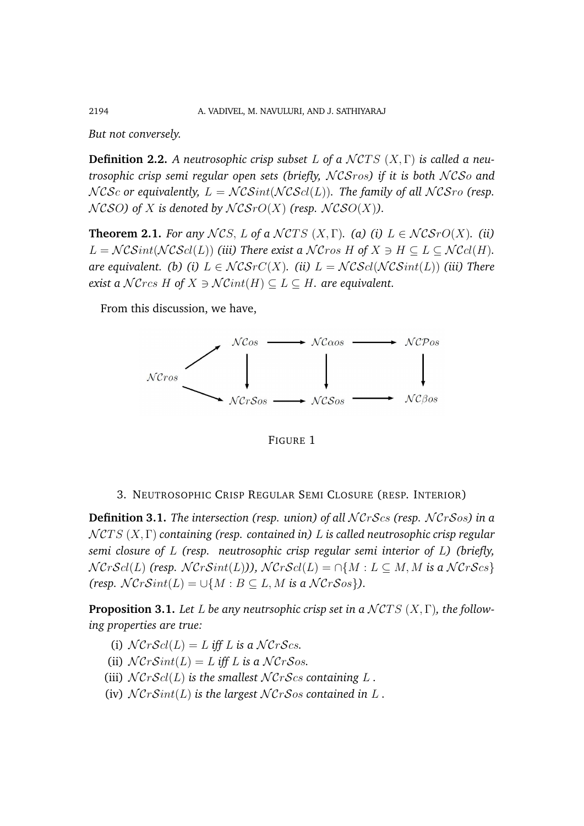*But not conversely.*

**Definition 2.2.** A neutrosophic crisp subset L of a  $NCTS$  (X,  $\Gamma$ ) is called a neu*trosophic crisp semi regular open sets (briefly, NCSros) if it is both NCSo and*  $NCSc$  or equivalently,  $L = NCSint(NCScl(L))$ . The family of all  $NCSro$  (resp.  $NCSO$  of X is denoted by  $NCSrO(X)$  (resp.  $NCSO(X)$ ).

**Theorem 2.1.** *For any*  $NCS$ , L of a  $NCTS$   $(X, \Gamma)$ . (a) (i)  $L \in NCSrO(X)$ . (ii)  $L = \mathcal{NCSint}(\mathcal{NCS}cl(L))$  *(iii) There exist a*  $\mathcal{NCross}$  *H* of  $X \ni H \subseteq L \subseteq \mathcal{N}Ccl(H)$ *. are equivalent. (b) (i)*  $L \in \mathcal{N} \mathcal{C} \mathcal{S} \mathcal{C}(X)$ *. (ii)*  $L = \mathcal{N} \mathcal{C} \mathcal{S} \mathcal{C} \mathcal{N} \mathcal{C} \mathcal{S} \mathcal{S} \mathcal{S} \mathcal{S} \mathcal{N} \mathcal{C} \mathcal{S} \mathcal{S} \mathcal{S} \mathcal{S} \mathcal{S} \mathcal{N} \mathcal{C} \mathcal{S} \mathcal{S} \mathcal{S} \mathcal{S} \mathcal{S} \mathcal{S} \math$ *exist a*  $\mathcal{N}$ *Crcs*  $H$  *of*  $X \ni \mathcal{N}$ *Cint*( $H$ )  $\subset L \subset H$ *. are equivalent.* 

From this discussion, we have,



FIGURE 1

3. NEUTROSOPHIC CRISP REGULAR SEMI CLOSURE (RESP. INTERIOR)

**Definition 3.1.** *The intersection (resp. union) of all*  $NCrScs$  *(resp.*  $NCrSos$ *) in a* N CT S (X, Γ) *containing (resp. contained in)* L *is called neutrosophic crisp regular semi closure of* L *(resp. neutrosophic crisp regular semi interior of* L*) (briefly,*  $NCrScI(L)$  *(resp.*  $NCrSint(L)$ *)*,  $NCrScI(L) = \bigcap \{M : L \subseteq M, M \text{ is a } NCrScs\}$  $(resp. NCrSint(L) = \bigcup \{M : B \subseteq L, M \text{ is a } \mathcal{N}CrSos\}.$ 

**Proposition 3.1.** Let L be any neutrsophic crisp set in a  $\mathcal{N}CTS(X,\Gamma)$ , the follow*ing properties are true:*

- (i)  $\mathcal{N}Cr\mathcal{S}cl(L) = L$  *iff* L *is a*  $\mathcal{N}Cr\mathcal{S}cs$ .
- (ii)  $\mathcal{N}CrSim(L) = L$  *iff* L *is a*  $\mathcal{N}CrSos$ .
- (iii)  $\mathcal{N}Cr\mathcal{S}cl(L)$  *is the smallest*  $\mathcal{N}Cr\mathcal{S}cs$  *containing*  $L$ .
- (iv)  $NCrSint(L)$  *is the largest*  $NCrSos$  *contained in* L.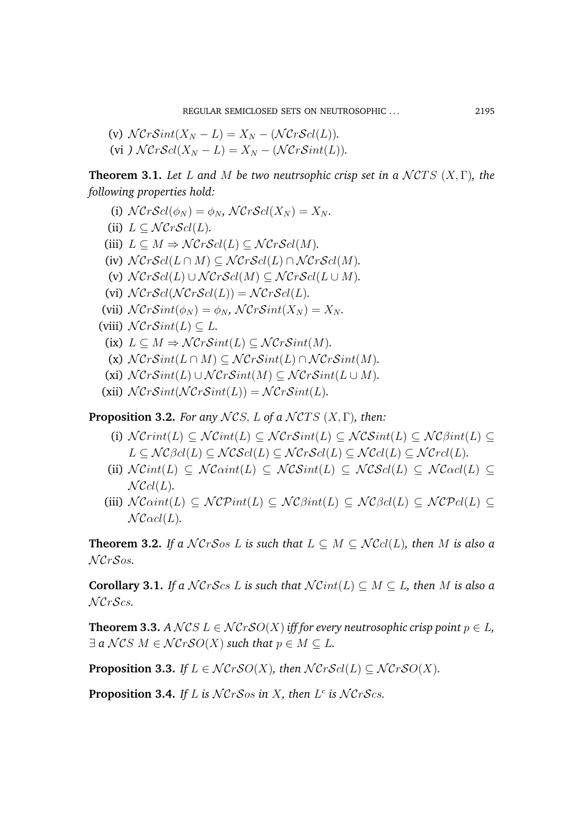(v) 
$$
\mathcal{N}Cr\mathcal{S}int(X_N - L) = X_N - (\mathcal{N}Cr\mathcal{S}cl(L)).
$$
  
(vi)  $\mathcal{N}Cr\mathcal{S}cl(X_N - L) = X_N - (\mathcal{N}Cr\mathcal{S}int(L)).$ 

**Theorem 3.1.** *Let* L and M be two neutrsophic crisp set in a  $\mathcal{N}CTS$   $(X, \Gamma)$ , the *following properties hold:*

- (i)  $\mathcal{N}Cr\mathcal{S}cl(\phi_N) = \phi_N$ ,  $\mathcal{N}Cr\mathcal{S}cl(X_N) = X_N$ .
- (ii)  $L \subset \mathcal{N} \mathcal{C} r \mathcal{S} cl(L)$ .
- (iii)  $L \subseteq M \Rightarrow \mathcal{N}Cr\mathcal{S}cl(L) \subseteq \mathcal{N}Cr\mathcal{S}cl(M)$ .
- (iv)  $\mathcal{N}Cr\mathcal{S}cl(L \cap M) \subseteq \mathcal{N}Cr\mathcal{S}cl(L) \cap \mathcal{N}Cr\mathcal{S}cl(M).$
- (v)  $\mathcal{N}Cr\mathcal{S}cl(L) \cup \mathcal{N}Cr\mathcal{S}cl(M) \subseteq \mathcal{N}Cr\mathcal{S}cl(L \cup M)$ .
- (vi)  $\mathcal{N}Cr\mathcal{S}cl(\mathcal{N}Cr\mathcal{S}cl(L)) = \mathcal{N}Cr\mathcal{S}cl(L).$
- (vii)  $\mathcal{N}CrSim(\phi_N) = \phi_N$ ,  $\mathcal{N}CrSim(X_N) = X_N$ .
- (viii)  $\mathcal{N}CrSint(L) \subseteq L$ .
	- (ix)  $L \subset M \Rightarrow \mathcal{N}CrSint(L) \subset \mathcal{N}CrSint(M)$ .
	- (x)  $\mathcal{N}CrSim(L \cap M) \subseteq \mathcal{N}CrSim(L) \cap \mathcal{N}CrSim(M)$ .
	- (xi)  $\mathcal{N}CrSint(L) \cup \mathcal{N}CrSint(M) \subset \mathcal{N}CrSint(L \cup M)$ .
- (xii)  $\mathcal{N}CrSim(NCrSint(L)) = \mathcal{N}CrSim(L)$ .

**Proposition 3.2.** *For any*  $NCS$ , *L of a*  $NCTS$   $(X, \Gamma)$ *, then:* 

- (i)  $\mathcal{N}Crit(L) \subseteq \mathcal{N}Crit(L) \subseteq \mathcal{N} CrSint(L) \subseteq \mathcal{N} CSint(L) \subseteq \mathcal{N} CSint(L) \subseteq \mathcal{N}$  $L \subseteq \mathcal{NC}\beta cl(L) \subseteq \mathcal{NC}\mathcal{SC}l(L) \subseteq \mathcal{NC}\mathcal{rc}l(L) \subseteq \mathcal{NC}cl(L) \subseteq \mathcal{NC}rcl(L).$
- (ii)  $\mathcal{NC}int(L) \subseteq \mathcal{NC}Sint(L) \subseteq \mathcal{NC}Sint(L) \subseteq \mathcal{NC}Scl(L) \subseteq \mathcal{NC}ocl(L) \subseteq$  $N\mathcal{C}cl(L)$ .
- (iii)  $\mathcal{N}$ Caint(L)  $\subset \mathcal{N}C$ Pint(L)  $\subset \mathcal{N}C$   $\beta$ int(L)  $\subset \mathcal{N}C$   $\beta$ cl(L)  $\subset \mathcal{N}C$   $\mathcal{N}C$   $\ell$  $N$  $\mathcal{C}\alpha$ *cl*(*L*).

**Theorem 3.2.** *If a*  $NCrSos L$  *is such that*  $L \subseteq M \subseteq NCcl(L)$ *, then M is also a* N CrSos*.*

**Corollary 3.1.** *If a*  $NCrScs$  *L is such that*  $NCint(L) \subset M \subset L$ *, then M is also a* N CrScs*.*

**Theorem 3.3.** *A*  $NCS L \in NCrSO(X)$  *iff for every neutrosophic crisp point*  $p \in L$ *,*  $\exists a \mathcal{N}$ *CS*  $M \in \mathcal{N}$ *CrSO*(*X*) such that  $p \in M \subseteq L$ .

**Proposition 3.3.** *If*  $L \in \mathcal{N}CrSO(X)$ *, then*  $\mathcal{N}CrScl(L) \subseteq \mathcal{N}CrSO(X)$ *.* 

**Proposition 3.4.** If L is  $NCrSos$  in X, then  $L^c$  is  $NCrScs$ .